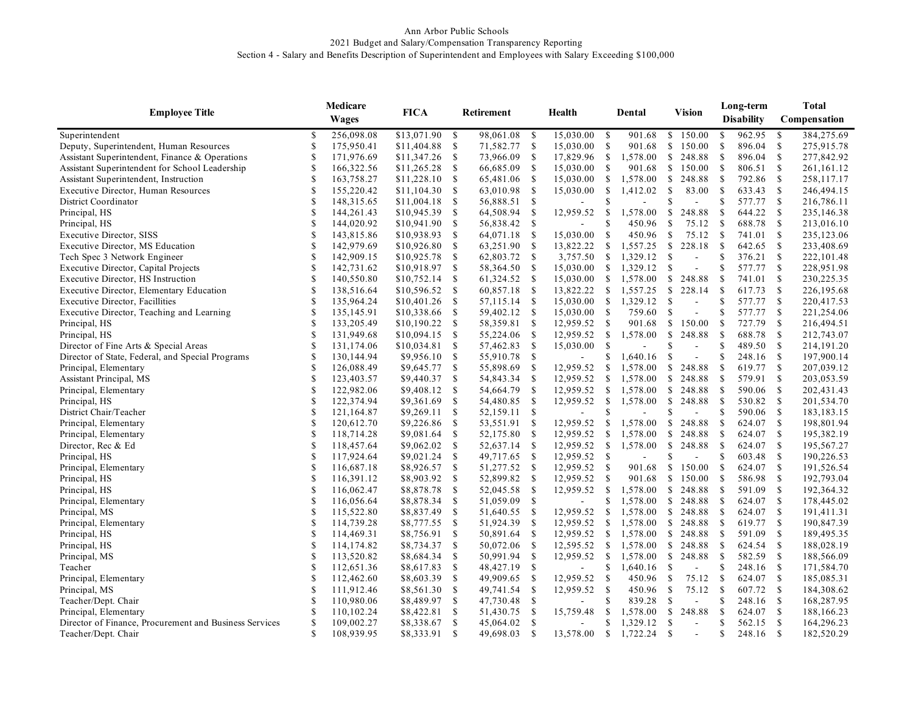## Ann Arbor Public Schools 2021 Budget and Salary/Compensation Transparency Reporting Section 4 - Salary and Benefits Description of Superintendent and Employees with Salary Exceeding \$100,000

| <b>Employee Title</b>                                  |              | Medicare   | <b>FICA</b> | Retirement    |           |               | Health                   |               | Dental   |               | <b>Vision</b>  |               | Long-term<br><b>Disability</b> |                    | <b>Total</b><br>Compensation |  |
|--------------------------------------------------------|--------------|------------|-------------|---------------|-----------|---------------|--------------------------|---------------|----------|---------------|----------------|---------------|--------------------------------|--------------------|------------------------------|--|
|                                                        | <b>Wages</b> |            |             |               |           |               |                          |               |          |               |                |               |                                |                    |                              |  |
| Superintendent                                         | S            | 256,098.08 | \$13,071.90 | <sup>\$</sup> | 98,061.08 | - \$          | 15,030.00                | - \$          | 901.68   | <sup>S</sup>  | 150.00         | <sup>\$</sup> | 962.95                         | - \$               | 384,275.69                   |  |
| Deputy, Superintendent, Human Resources                | \$           | 175,950.41 | \$11,404.88 | <sup>\$</sup> | 71,582.77 | - \$          | 15,030.00                | $\mathcal{S}$ | 901.68   | $\mathbb{S}$  | 150.00         | <sup>\$</sup> | 896.04                         | <b>S</b>           | 275,915.78                   |  |
| Assistant Superintendent, Finance & Operations         | \$           | 171,976.69 | \$11,347.26 | <sup>\$</sup> | 73,966.09 | -\$           | 17,829.96                | <sup>\$</sup> | 1,578.00 | <sup>\$</sup> | 248.88         | <sup>\$</sup> | 896.04                         | -S                 | 277,842.92                   |  |
| Assistant Superintendent for School Leadership         | S            | 166,322.56 | \$11,265.28 | \$            | 66,685.09 | -S            | 15,030.00                | \$            | 901.68   | <sup>\$</sup> | 150.00         | <sup>\$</sup> | 806.51                         | -S                 | 261,161.12                   |  |
| Assistant Superintendent, Instruction                  | \$           | 163,758.27 | \$11,228.10 | \$            | 65,481.06 | \$            | 15,030.00                | \$            | 1,578.00 | <sup>\$</sup> | 248.88         | \$            | 792.86                         | <sup>\$</sup>      | 258,117.17                   |  |
| <b>Executive Director, Human Resources</b>             | \$           | 155,220.42 | \$11,104.30 | \$            | 63,010.98 | -S            | 15,030.00                | \$            | 1,412.02 | \$            | 83.00          | <sup>\$</sup> | 633.43                         | - \$               | 246,494.15                   |  |
| District Coordinator                                   | \$           | 148,315.65 | \$11,004.18 | \$            | 56,888.51 | <sup>\$</sup> |                          | S             |          | \$            |                | \$            | 577.77                         | <sup>\$</sup>      | 216,786.11                   |  |
| Principal, HS                                          | \$           | 144,261.43 | \$10,945.39 | \$            | 64,508.94 | $\mathcal{S}$ | 12,959.52                | \$            | 1,578.00 | \$            | 248.88         | <sup>\$</sup> | 644.22                         | <sup>\$</sup>      | 235,146.38                   |  |
| Principal, HS                                          | \$           | 144,020.92 | \$10,941.90 | \$            | 56,838.42 | <sup>\$</sup> |                          | <sup>\$</sup> | 450.96   | $\mathbb{S}$  | 75.12          | <sup>\$</sup> | 688.78                         | -S                 | 213,016.10                   |  |
| <b>Executive Director, SISS</b>                        | \$           | 143,815.86 | \$10,938.93 | $\mathbb{S}$  | 64,071.18 | <sup>\$</sup> | 15,030.00                | \$            | 450.96   | $\mathbb{S}$  | 75.12          | <sup>\$</sup> | 741.01                         | <sup>\$</sup>      | 235,123.06                   |  |
| <b>Executive Director, MS Education</b>                | \$           | 142,979.69 | \$10,926.80 | <sup>\$</sup> | 63,251.90 | <sup>\$</sup> | 13,822.22                | \$            | 1,557.25 | <sup>\$</sup> | 228.18         | <sup>\$</sup> | 642.65                         | $\mathbb{S}$       | 233,408.69                   |  |
| Tech Spec 3 Network Engineer                           | \$           | 142,909.15 | \$10,925.78 | <sup>\$</sup> | 62,803.72 | <sup>\$</sup> | 3,757.50                 | <sup>\$</sup> | 1,329.12 | <sup>\$</sup> | ÷,             |               | 376.21                         | <sup>\$</sup>      | 222,101.48                   |  |
| Executive Director, Capital Projects                   | \$           | 142,731.62 | \$10,918.97 | $\mathbb{S}$  | 58,364.50 | <sup>\$</sup> | 15,030.00                | <sup>\$</sup> | 1,329.12 | <sup>\$</sup> | $\overline{a}$ | <sup>\$</sup> | 577.77                         | $\mathbf s$        | 228,951.98                   |  |
| Executive Director, HS Instruction                     | \$           | 140,550.80 | \$10,752.14 | $\mathbb{S}$  | 61,324.52 | <sup>\$</sup> | 15,030.00                | \$            | 1,578.00 | $\mathbb{S}$  | 248.88         | \$            | 741.01                         | -S                 | 230,225.35                   |  |
| Executive Director, Elementary Education               | S            | 138,516.64 | \$10,596.52 | <sup>\$</sup> | 60,857.18 | <sup>\$</sup> | 13,822.22                | <sup>\$</sup> | 1,557.25 | $\mathbb{S}$  | 228.14         | <sup>\$</sup> | 617.73                         | <sup>S</sup>       | 226,195.68                   |  |
| <b>Executive Director, Facillities</b>                 | \$           | 135,964.24 | \$10,401.26 | <sup>\$</sup> | 57,115.14 | -\$           | 15,030.00                | <sup>\$</sup> | 1,329.12 | <sup>\$</sup> | $\overline{a}$ | <sup>\$</sup> | 577.77                         | <sup>\$</sup>      | 220,417.53                   |  |
| Executive Director, Teaching and Learning              | S            | 135,145.91 | \$10,338.66 | <sup>\$</sup> | 59,402.12 | -S            | 15,030.00                | <sup>\$</sup> | 759.60   | $\mathbb{S}$  | $\overline{a}$ | \$            | 577.77                         | -S                 | 221,254.06                   |  |
| Principal, HS                                          | S            | 133,205.49 | \$10,190.22 | <sup>\$</sup> | 58,359.81 | <sup>\$</sup> | 12,959.52                | <sup>\$</sup> | 901.68   | $\mathbb{S}$  | 150.00         | <sup>\$</sup> | 727.79                         | -S                 | 216,494.51                   |  |
| Principal, HS                                          | S            | 131,949.68 | \$10,094.15 | \$            | 55,224.06 | \$            | 12,959.52                | \$            | 1,578.00 | \$            | 248.88         | <sup>\$</sup> | 688.78                         | - S                | 212,743.07                   |  |
| Director of Fine Arts & Special Areas                  | \$           | 131,174.06 | \$10,034.81 | \$            | 57,462.83 | $\mathcal{S}$ | 15,030.00                | \$            |          | \$            | $\sim$         | <sup>\$</sup> | 489.50                         | <sup>\$</sup>      | 214,191.20                   |  |
| Director of State, Federal, and Special Programs       | \$           | 130,144.94 | \$9,956.10  | \$            | 55,910.78 | $\mathcal{S}$ | $\blacksquare$           | \$            | 1,640.16 | $\mathbb{S}$  | ÷,             | \$            | 248.16                         | <sup>\$</sup>      | 197,900.14                   |  |
| Principal, Elementary                                  | \$           | 126,088.49 | \$9,645.77  | \$            | 55,898.69 | \$            | 12,959.52                | \$            | 1,578.00 | $\mathbb{S}$  | 248.88         | <sup>\$</sup> | 619.77                         | <sup>\$</sup>      | 207,039.12                   |  |
| Assistant Principal, MS                                | \$           | 123,403.57 | \$9,440.37  | \$            | 54,843.34 | <sup>\$</sup> | 12,959.52                | \$            | 1,578.00 | \$            | 248.88         | <sup>\$</sup> | 579.91                         | <sup>\$</sup>      | 203,053.59                   |  |
| Principal, Elementary                                  | \$           | 122,982.06 | \$9,408.12  | <sup>\$</sup> | 54,664.79 | <sup>\$</sup> | 12,959.52                | \$            | 1,578.00 | $\mathbb{S}$  | 248.88         | <sup>\$</sup> | 590.06                         | -S                 | 202,431.43                   |  |
| Principal, HS                                          | \$           | 122,374.94 | \$9,361.69  | \$            | 54,480.85 | <sup>\$</sup> | 12,959.52                | \$            | 1,578.00 | \$            | 248.88         | <sup>\$</sup> | 530.82                         | -S                 | 201,534.70                   |  |
| District Chair/Teacher                                 | \$           | 121,164.87 | \$9,269.11  | <sup>\$</sup> | 52,159.11 | <sup>\$</sup> |                          | <sup>\$</sup> |          | \$            | ÷,             | <sup>\$</sup> | 590.06                         | $\mathbf{s}$       | 183, 183. 15                 |  |
| Principal, Elementary                                  | \$           | 120,612.70 | \$9,226.86  | $\mathbb{S}$  | 53,551.91 | <sup>\$</sup> | 12,959.52                | \$            | 1,578.00 | $\mathbb{S}$  | 248.88         | <sup>\$</sup> | 624.07                         | $\mathbb{S}$       | 198,801.94                   |  |
| Principal, Elementary                                  | \$           | 118,714.28 | \$9,081.64  | $\mathbb{S}$  | 52,175.80 | <sup>\$</sup> | 12,959.52                | $\mathbb{S}$  | 1,578.00 | $\mathbb{S}$  | 248.88         | <sup>\$</sup> | 624.07                         | $\mathbf{s}$       | 195,382.19                   |  |
| Director, Rec & Ed                                     | \$           | 118,457.64 | \$9,062.02  | $\mathbb{S}$  | 52,637.14 | <sup>\$</sup> | 12,959.52                | $\mathbb{S}$  | 1,578.00 | $\mathbb{S}$  | 248.88         | <sup>\$</sup> | 624.07                         | $\mathbb{S}$       | 195,567.27                   |  |
| Principal, HS                                          | \$           | 117,924.64 | \$9,021.24  | <sup>\$</sup> | 49,717.65 | -\$           | 12,959.52                | -S            |          | \$            |                | \$            | 603.48                         | - S                | 190,226.53                   |  |
| Principal, Elementary                                  | \$           | 116,687.18 | \$8,926.57  | \$            | 51,277.52 | <sup>\$</sup> | 12,959.52                | \$            | 901.68   | <sup>\$</sup> | 150.00         | <sup>\$</sup> | 624.07                         | -S                 | 191,526.54                   |  |
| Principal, HS                                          | \$           | 116,391.12 | \$8,903.92  | <sup>\$</sup> | 52,899.82 | -S            | 12,959.52                | \$            | 901.68   | \$            | 150.00         | \$            | 586.98                         | - \$               | 192,793.04                   |  |
| Principal, HS                                          | \$           | 116,062.47 | \$8,878.78  | \$            | 52,045.58 | <sup>\$</sup> | 12,959.52                | \$            | 1,578.00 | <sup>\$</sup> | 248.88         | <sup>\$</sup> | 591.09                         | <sup>\$</sup>      | 192,364.32                   |  |
| Principal, Elementary                                  | \$           | 116,056.64 | \$8,878.34  | <sup>\$</sup> | 51,059.09 | <sup>\$</sup> |                          | \$            | 1,578.00 | <sup>\$</sup> | 248.88         | \$            | 624.07                         | -S                 | 178,445.02                   |  |
| Principal, MS                                          | \$           | 115,522.80 | \$8,837.49  | \$            | 51,640.55 | \$            | 12,959.52                | \$            | 1,578.00 | \$            | 248.88         | \$            | 624.07                         | -S                 | 191,411.31                   |  |
| Principal, Elementary                                  | \$           | 114,739.28 | \$8,777.55  | \$            | 51,924.39 | $\mathcal{S}$ | 12,959.52                | \$            | 1,578.00 | \$            | 248.88         | \$            | 619.77                         | $\mathbb{S}$       | 190,847.39                   |  |
| Principal, HS                                          | \$           | 114,469.31 | \$8,756.91  | \$            | 50,891.64 | -S            | 12,959.52                | \$            | 1,578.00 | \$            | 248.88         | \$            | 591.09                         | -S                 | 189,495.35                   |  |
| Principal, HS                                          | \$           | 114,174.82 | \$8,734.37  | \$            | 50,072.06 | <sup>\$</sup> | 12,595.52                | \$            | 1,578.00 | <sup>\$</sup> | 248.88         | \$            | 624.54                         | <sup>\$</sup>      | 188,028.19                   |  |
| Principal, MS                                          | S            | 113,520.82 | \$8,684.34  | \$            | 50,991.94 | -\$           | 12,959.52                | $\mathbb{S}$  | 1,578.00 | \$            | 248.88         | <sup>\$</sup> | 582.59                         | $\mathbf{s}$       | 188,566.09                   |  |
| Teacher                                                | \$           | 112,651.36 | \$8,617.83  | <sup>\$</sup> | 48,427.19 | $\mathbb{S}$  | $\overline{\phantom{a}}$ | \$            | 1,640.16 | <sup>\$</sup> | $\overline{a}$ | <sup>\$</sup> | 248.16                         | - \$               | 171,584.70                   |  |
| Principal, Elementary                                  | \$           | 112,462.60 | \$8,603.39  | $\mathbb{S}$  | 49,909.65 | <sup>S</sup>  | 12,959.52                | $\mathcal{S}$ | 450.96   | \$            | 75.12          | <sup>\$</sup> | 624.07                         | $\mathbf{s}$       | 185,085.31                   |  |
| Principal, MS                                          | \$           | 111,912.46 | \$8,561.30  | \$            | 49,741.54 | <sup>\$</sup> | 12,959.52                | $\mathbf S$   | 450.96   | $\mathbb{S}$  | 75.12          | \$            | 607.72                         | -S                 | 184,308.62                   |  |
| Teacher/Dept. Chair                                    | \$           | 110,980.06 | \$8,489.97  | $\mathbb{S}$  | 47,730.48 | $\mathcal{S}$ |                          | <sup>\$</sup> | 839.28   | \$            | $\overline{a}$ | \$            | 248.16                         | $\mathbf{\hat{s}}$ | 168,287.95                   |  |
| Principal, Elementary                                  | \$           | 110,102.24 | \$8,422.81  | \$            | 51,430.75 | -S            | 15,759.48                | \$            | 1,578.00 | $\mathbb{S}$  | 248.88         | <sup>\$</sup> | 624.07                         | -S                 | 188,166.23                   |  |
| Director of Finance, Procurement and Business Services | \$           | 109,002.27 | \$8,338.67  | -S            | 45,064.02 | <sup>\$</sup> |                          | \$            | 1,329.12 | $\mathbb{S}$  | $\mathbf{r}$   | S             | 562.15                         | $\mathbf{\hat{s}}$ | 164,296.23                   |  |
| Teacher/Dept. Chair                                    | \$           | 108,939.95 | \$8,333.91  | S             | 49,698.03 | <sup>\$</sup> | 13,578.00                | S             | 1,722.24 | <sup>\$</sup> |                | \$            | 248.16                         | <sup>\$</sup>      | 182,520.29                   |  |